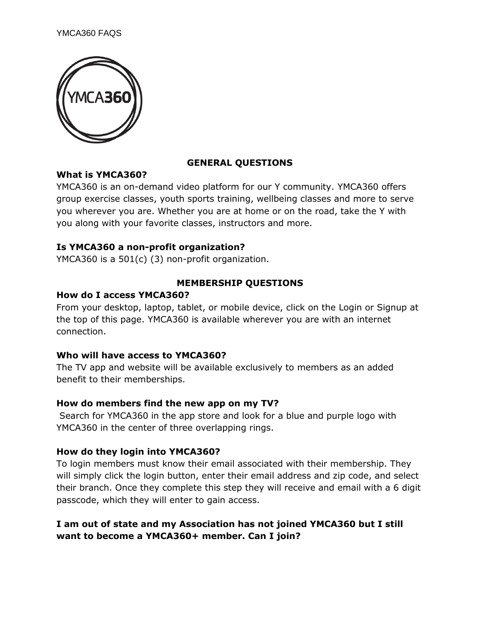#### YMCA360 FAQS



## **GENERAL QUESTIONS**

#### **What is YMCA360?**

YMCA360 is an on-demand video platform for our Y community. YMCA360 offers group exercise classes, youth sports training, wellbeing classes and more to serve you wherever you are. Whether you are at home or on the road, take the Y with you along with your favorite classes, instructors and more.

## **Is YMCA360 a non-profit organization?**

YMCA360 is a 501(c) (3) non-profit organization.

## **MEMBERSHIP QUESTIONS**

## **How do I access YMCA360?**

From your desktop, laptop, tablet, or mobile device, click on the Login or Signup at the top of this page. YMCA360 is available wherever you are with an internet connection.

## **Who will have access to YMCA360?**

The TV app and website will be available exclusively to members as an added benefit to their memberships.

## **How do members find the new app on my TV?**

Search for YMCA360 in the app store and look for a blue and purple logo with YMCA360 in the center of three overlapping rings.

## **How do they login into YMCA360?**

To login members must know their email associated with their membership. They will simply click the login button, enter their email address and zip code, and select their branch. Once they complete this step they will receive and email with a 6 digit passcode, which they will enter to gain access.

# **I am out of state and my Association has not joined YMCA360 but I still want to become a YMCA360+ member. Can I join?**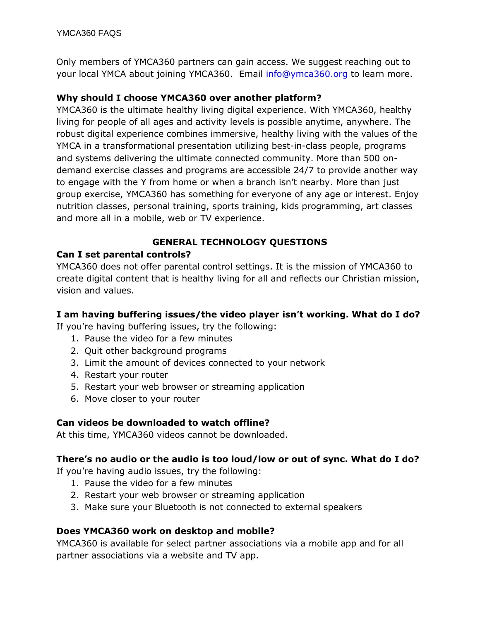Only members of YMCA360 partners can gain access. We suggest reaching out to your local YMCA about joining YMCA360. Email [info@ymca360.org](mailto:info@ymca360.org) to learn more.

## **Why should I choose YMCA360 over another platform?**

YMCA360 is the ultimate healthy living digital experience. With YMCA360, healthy living for people of all ages and activity levels is possible anytime, anywhere. The robust digital experience combines immersive, healthy living with the values of the YMCA in a transformational presentation utilizing best-in-class people, programs and systems delivering the ultimate connected community. More than 500 ondemand exercise classes and programs are accessible 24/7 to provide another way to engage with the Y from home or when a branch isn't nearby. More than just group exercise, YMCA360 has something for everyone of any age or interest. Enjoy nutrition classes, personal training, sports training, kids programming, art classes and more all in a mobile, web or TV experience.

# **GENERAL TECHNOLOGY QUESTIONS**

## **Can I set parental controls?**

YMCA360 does not offer parental control settings. It is the mission of YMCA360 to create digital content that is healthy living for all and reflects our Christian mission, vision and values.

# **I am having buffering issues/the video player isn't working. What do I do?**

If you're having buffering issues, try the following:

- 1. Pause the video for a few minutes
- 2. Quit other background programs
- 3. Limit the amount of devices connected to your network
- 4. Restart your router
- 5. Restart your web browser or streaming application
- 6. Move closer to your router

## **Can videos be downloaded to watch offline?**

At this time, YMCA360 videos cannot be downloaded.

## **There's no audio or the audio is too loud/low or out of sync. What do I do?**

If you're having audio issues, try the following:

- 1. Pause the video for a few minutes
- 2. Restart your web browser or streaming application
- 3. Make sure your Bluetooth is not connected to external speakers

## **Does YMCA360 work on desktop and mobile?**

YMCA360 is available for select partner associations via a mobile app and for all partner associations via a website and TV app.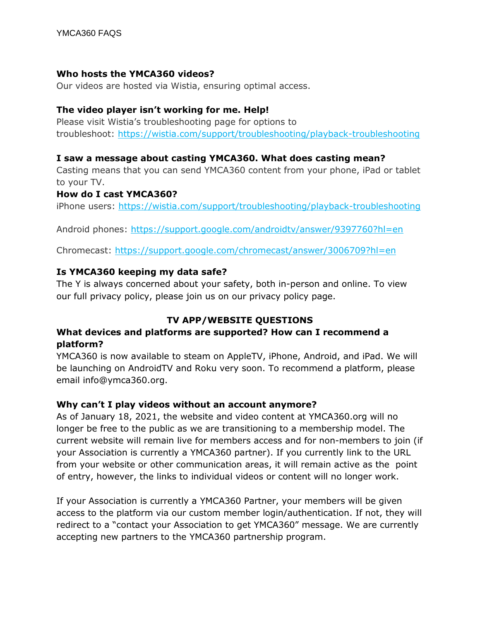## **Who hosts the YMCA360 videos?**

Our videos are hosted via Wistia, ensuring optimal access.

## **The video player isn't working for me. Help!**

Please visit Wistia's troubleshooting page for options to troubleshoot: <https://wistia.com/support/troubleshooting/playback-troubleshooting>

## **I saw a message about casting YMCA360. What does casting mean?**

Casting means that you can send YMCA360 content from your phone, iPad or tablet to your TV.

## **How do I cast YMCA360?**

iPhone users: <https://wistia.com/support/troubleshooting/playback-troubleshooting>

Android phones: <https://support.google.com/androidtv/answer/9397760?hl=en>

Chromecast: <https://support.google.com/chromecast/answer/3006709?hl=en>

## **Is YMCA360 keeping my data safe?**

The Y is always concerned about your safety, both in-person and online. To view our full privacy policy, please join us on our [privacy policy page.](https://ymca360.org/privacy-policy)

# **TV APP/WEBSITE QUESTIONS**

# **What devices and platforms are supported? How can I recommend a platform?**

YMCA360 is now available to steam on AppleTV, iPhone, Android, and iPad. We will be launching on AndroidTV and Roku very soon. To recommend a platform, please email info@ymca360.org.

# **Why can't I play videos without an account anymore?**

As of January 18, 2021, the website and video content at YMCA360.org will no longer be free to the public as we are transitioning to a membership model. The current website will remain live for members access and for non-members to join (if your Association is currently a YMCA360 partner). If you currently link to the URL from your website or other communication areas, it will remain active as the point of entry, however, the links to individual videos or content will no longer work.

If your Association is currently a YMCA360 Partner, your members will be given access to the platform via our custom member login/authentication. If not, they will redirect to a "contact your Association to get YMCA360" message. We are currently accepting new partners to the YMCA360 partnership program.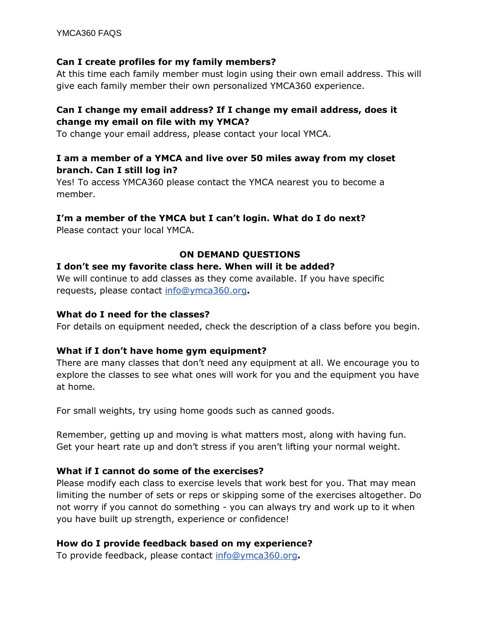## **Can I create profiles for my family members?**

At this time each family member must login using their own email address. This will give each family member their own personalized YMCA360 experience.

# **Can I change my email address? If I change my email address, does it change my email on file with my YMCA?**

To change your email address, please contact your local YMCA.

## **I am a member of a YMCA and live over 50 miles away from my closet branch. Can I still log in?**

Yes! To access YMCA360 please contact the YMCA nearest you to become a member.

# **I'm a member of the YMCA but I can't login. What do I do next?**

Please contact your local YMCA.

# **ON DEMAND QUESTIONS**

# **I don't see my favorite class here. When will it be added?**

We will continue to add classes as they come available. If you have specific requests, please contact [info@ymca360.org](mailto:info@ymca360.org)**.** 

# **What do I need for the classes?**

For details on equipment needed, check the description of a class before you begin.

# **What if I don't have home gym equipment?**

There are many classes that don't need any equipment at all. We encourage you to explore the classes to see what ones will work for you and the equipment you have at home.

For small weights, try using home goods such as canned goods.

Remember, getting up and moving is what matters most, along with having fun. Get your heart rate up and don't stress if you aren't lifting your normal weight.

# **What if I cannot do some of the exercises?**

Please modify each class to exercise levels that work best for you. That may mean limiting the number of sets or reps or skipping some of the exercises altogether. Do not worry if you cannot do something - you can always try and work up to it when you have built up strength, experience or confidence!

## **How do I provide feedback based on my experience?**

To provide feedback, please contact [info@ymca360.org](mailto:info@ymca360.org)**.**